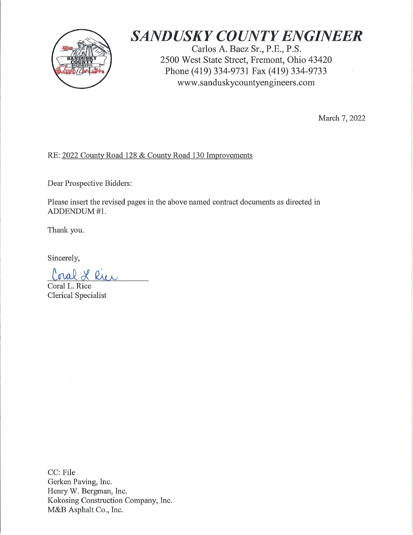

# **SANDUSKY COUNTY ENGINEER**

Carlos A. Baez Sr., P.E., P.S. 2500 West State Street, Fremont, Ohio 43420 Phone (419) 334-9731 Fax (419) 334-9733 www.sanduskycountyengineers.com

March 7, 2022

# RE: 2022 County Road 128 & County Road 130 Improvements

Dear Prospective Bidders:

Please insert the revised pages in the above named contract documents as directed in ADDENDUM #1.

Thank you.

Sincerely,

Coral L Rui

Coral L. Rice Clerical Specialist

CC: File Gerken Paving, Inc. Henry W. Bergman, Inc. Kokosing Construction Company, Inc. M&B Asphalt Co., Inc.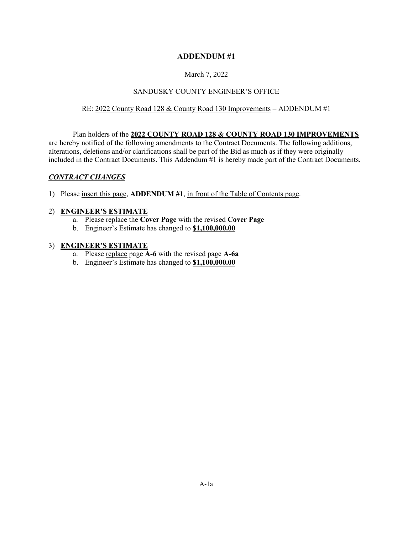## **ADDENDUM #1**

### March 7, 2022

### SANDUSKY COUNTY ENGINEER'S OFFICE

### RE: 2022 County Road 128 & County Road 130 Improvements – ADDENDUM #1

### Plan holders of the **2022 COUNTY ROAD 128 & COUNTY ROAD 130 IMPROVEMENTS**

are hereby notified of the following amendments to the Contract Documents. The following additions, alterations, deletions and/or clarifications shall be part of the Bid as much as if they were originally included in the Contract Documents. This Addendum #1 is hereby made part of the Contract Documents.

### *CONTRACT CHANGES*

1) Please insert this page, **ADDENDUM #1**, in front of the Table of Contents page.

### 2) **ENGINEER'S ESTIMATE**

- a. Please replace the **Cover Page** with the revised **Cover Page**
- b. Engineer's Estimate has changed to **\$1,100,000.00**

### 3) **ENGINEER'S ESTIMATE**

- a. Please replace page **A-6** with the revised page **A-6a**
- b. Engineer's Estimate has changed to **\$1,100,000.00**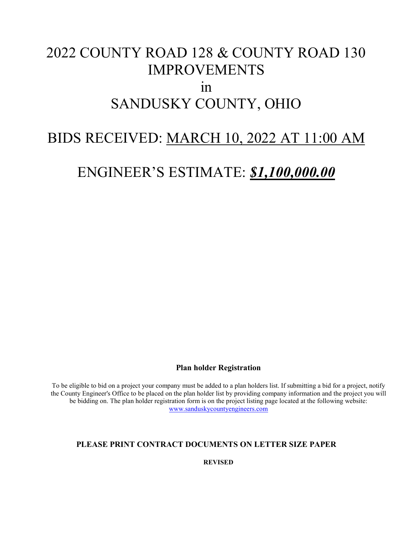# 2022 COUNTY ROAD 128 & COUNTY ROAD 130 IMPROVEMENTS  $1n$ SANDUSKY COUNTY, OHIO

# BIDS RECEIVED: MARCH 10, 2022 AT 11:00 AM

# ENGINEER'S ESTIMATE: *\$1,100,000.00*

## **Plan holder Registration**

To be eligible to bid on a project your company must be added to a plan holders list. If submitting a bid for a project, notify the County Engineer's Office to be placed on the plan holder list by providing company information and the project you will be bidding on. The plan holder registration form is on the project listing page located at the following website: [www.sanduskycountyengineers.com](http://www.sanduskycountyengineers.com/)

# **PLEASE PRINT CONTRACT DOCUMENTS ON LETTER SIZE PAPER**

**REVISED**